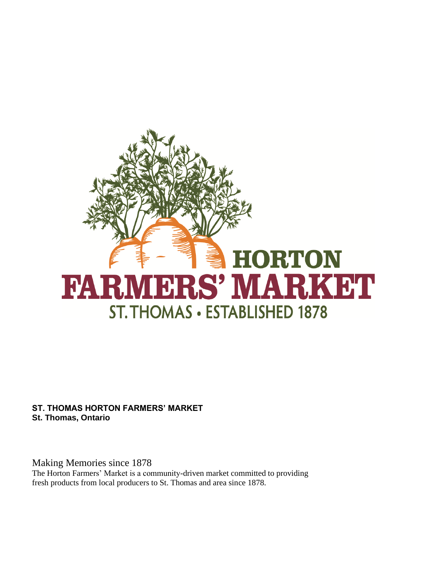

**ST. THOMAS HORTON FARMERS' MARKET St. Thomas, Ontario** 

Making Memories since 1878 The Horton Farmers' Market is a community-driven market committed to providing fresh products from local producers to St. Thomas and area since 1878.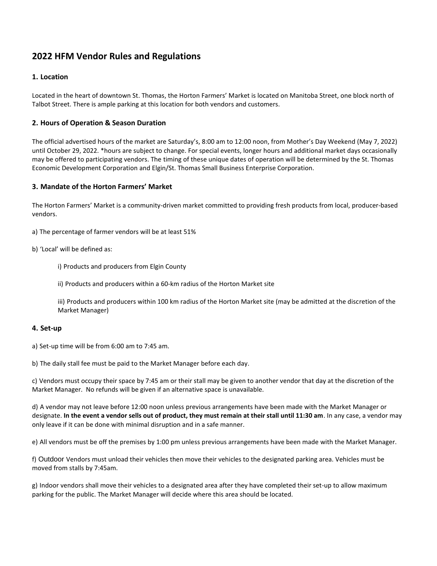# **2022 HFM Vendor Rules and Regulations**

# **1. Location**

Located in the heart of downtown St. Thomas, the Horton Farmers' Market is located on Manitoba Street, one block north of Talbot Street. There is ample parking at this location for both vendors and customers.

# **2. Hours of Operation & Season Duration**

The official advertised hours of the market are Saturday's, 8:00 am to 12:00 noon, from Mother's Day Weekend (May 7, 2022) until October 29, 2022. \*hours are subject to change. For special events, longer hours and additional market days occasionally may be offered to participating vendors. The timing of these unique dates of operation will be determined by the St. Thomas Economic Development Corporation and Elgin/St. Thomas Small Business Enterprise Corporation.

# **3. Mandate of the Horton Farmers' Market**

The Horton Farmers' Market is a community-driven market committed to providing fresh products from local, producer-based vendors.

a) The percentage of farmer vendors will be at least 51%

b) 'Local' will be defined as:

i) Products and producers from Elgin County

ii) Products and producers within a 60-km radius of the Horton Market site

iii) Products and producers within 100 km radius of the Horton Market site (may be admitted at the discretion of the Market Manager)

# **4. Set-up**

a) Set-up time will be from 6:00 am to 7:45 am.

b) The daily stall fee must be paid to the Market Manager before each day.

c) Vendors must occupy their space by 7:45 am or their stall may be given to another vendor that day at the discretion of the Market Manager. No refunds will be given if an alternative space is unavailable.

d) A vendor may not leave before 12:00 noon unless previous arrangements have been made with the Market Manager or designate. **In the event a vendor sells out of product, they must remain at their stall until 11:30 am**. In any case, a vendor may only leave if it can be done with minimal disruption and in a safe manner.

e) All vendors must be off the premises by 1:00 pm unless previous arrangements have been made with the Market Manager.

f) Outdoor Vendors must unload their vehicles then move their vehicles to the designated parking area. Vehicles must be moved from stalls by 7:45am.

g) Indoor vendors shall move their vehicles to a designated area after they have completed their set-up to allow maximum parking for the public. The Market Manager will decide where this area should be located.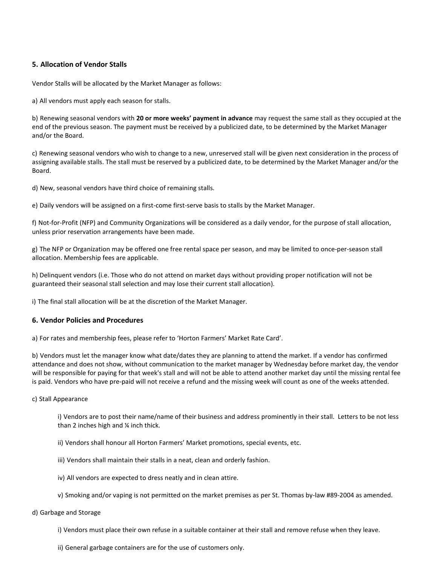# **5. Allocation of Vendor Stalls**

Vendor Stalls will be allocated by the Market Manager as follows:

a) All vendors must apply each season for stalls.

b) Renewing seasonal vendors with **20 or more weeks' payment in advance** may request the same stall as they occupied at the end of the previous season. The payment must be received by a publicized date, to be determined by the Market Manager and/or the Board.

c) Renewing seasonal vendors who wish to change to a new, unreserved stall will be given next consideration in the process of assigning available stalls. The stall must be reserved by a publicized date, to be determined by the Market Manager and/or the Board.

d) New, seasonal vendors have third choice of remaining stalls.

e) Daily vendors will be assigned on a first-come first-serve basis to stalls by the Market Manager.

f) Not-for-Profit (NFP) and Community Organizations will be considered as a daily vendor, for the purpose of stall allocation, unless prior reservation arrangements have been made.

g) The NFP or Organization may be offered one free rental space per season, and may be limited to once-per-season stall allocation. Membership fees are applicable.

h) Delinquent vendors (i.e. Those who do not attend on market days without providing proper notification will not be guaranteed their seasonal stall selection and may lose their current stall allocation).

i) The final stall allocation will be at the discretion of the Market Manager.

# **6. Vendor Policies and Procedures**

a) For rates and membership fees, please refer to 'Horton Farmers' Market Rate Card'.

b) Vendors must let the manager know what date/dates they are planning to attend the market. If a vendor has confirmed attendance and does not show, without communication to the market manager by Wednesday before market day, the vendor will be responsible for paying for that week's stall and will not be able to attend another market day until the missing rental fee is paid. Vendors who have pre-paid will not receive a refund and the missing week will count as one of the weeks attended.

#### c) Stall Appearance

i) Vendors are to post their name/name of their business and address prominently in their stall. Letters to be not less than 2 inches high and ¼ inch thick.

- ii) Vendors shall honour all Horton Farmers' Market promotions, special events, etc.
- iii) Vendors shall maintain their stalls in a neat, clean and orderly fashion.
- iv) All vendors are expected to dress neatly and in clean attire.
- v) Smoking and/or vaping is not permitted on the market premises as per St. Thomas by-law #89-2004 as amended.

#### d) Garbage and Storage

- i) Vendors must place their own refuse in a suitable container at their stall and remove refuse when they leave.
- ii) General garbage containers are for the use of customers only.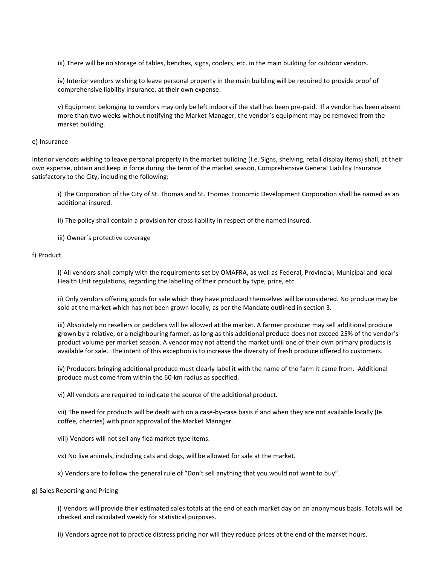iii) There will be no storage of tables, benches, signs, coolers, etc. in the main building for outdoor vendors.

iv) Interior vendors wishing to leave personal property in the main building will be required to provide proof of comprehensive liability insurance, at their own expense.

v) Equipment belonging to vendors may only be left indoors if the stall has been pre-paid. If a vendor has been absent more than two weeks without notifying the Market Manager, the vendor's equipment may be removed from the market building.

#### e) Insurance

Interior vendors wishing to leave personal property in the market building (I.e. Signs, shelving, retail display items) shall, at their own expense, obtain and keep in force during the term of the market season, Comprehensive General Liability Insurance satisfactory to the City, including the following:

i) The Corporation of the City of St. Thomas and St. Thomas Economic Development Corporation shall be named as an additional insured.

ii) The policy shall contain a provision for cross liability in respect of the named insured.

iii) Owner`s protective coverage

### f) Product

i) All vendors shall comply with the requirements set by OMAFRA, as well as Federal, Provincial, Municipal and local Health Unit regulations, regarding the labelling of their product by type, price, etc.

ii) Only vendors offering goods for sale which they have produced themselves will be considered. No produce may be sold at the market which has not been grown locally, as per the Mandate outlined in section 3.

iii) Absolutely no resellers or peddlers will be allowed at the market. A farmer producer may sell additional produce grown by a relative, or a neighbouring farmer, as long as this additional produce does not exceed 25% of the vendor's product volume per market season. A vendor may not attend the market until one of their own primary products is available for sale. The intent of this exception is to increase the diversity of fresh produce offered to customers.

iv) Producers bringing additional produce must clearly label it with the name of the farm it came from. Additional produce must come from within the 60-km radius as specified.

vi) All vendors are required to indicate the source of the additional product.

vii) The need for products will be dealt with on a case-by-case basis if and when they are not available locally (Ie. coffee, cherries) with prior approval of the Market Manager.

- viii) Vendors will not sell any flea market-type items.
- vx) No live animals, including cats and dogs, will be allowed for sale at the market.
- x) Vendors are to follow the general rule of "Don't sell anything that you would not want to buy".

#### g) Sales Reporting and Pricing

i) Vendors will provide their estimated sales totals at the end of each market day on an anonymous basis. Totals will be checked and calculated weekly for statistical purposes.

ii) Vendors agree not to practice distress pricing nor will they reduce prices at the end of the market hours.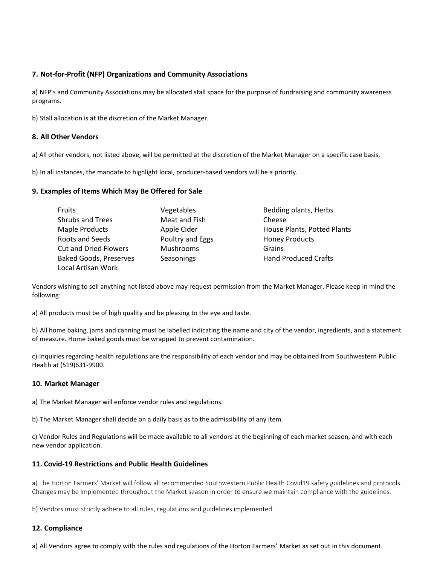# **7. Not-for-Profit (NFP) Organizations and Community Associations**

a) NFP's and Community Associations may be allocated stall space for the purpose of fundraising and community awareness programs.

b) Stall allocation is at the discretion of the Market Manager.

# **8. All Other Vendors**

a) All other vendors, not listed above, will be permitted at the discretion of the Market Manager on a specific case basis.

b) In all instances, the mandate to highlight local, producer-based vendors will be a priority.

# **9. Examples of Items Which May Be Offered for Sale**

| Fruits                        | Vegetables       | Bedding plants, Herbs       |
|-------------------------------|------------------|-----------------------------|
| <b>Shrubs and Trees</b>       | Meat and Fish    | Cheese                      |
| <b>Maple Products</b>         | Apple Cider      | House Plants, Potted Plants |
| Roots and Seeds               | Poultry and Eggs | <b>Honey Products</b>       |
| <b>Cut and Dried Flowers</b>  | <b>Mushrooms</b> | Grains                      |
| <b>Baked Goods, Preserves</b> | Seasonings       | <b>Hand Produced Crafts</b> |
| Local Artisan Work            |                  |                             |

Vendors wishing to sell anything not listed above may request permission from the Market Manager. Please keep in mind the following:

a) All products must be of high quality and be pleasing to the eye and taste.

b) All home baking, jams and canning must be labelled indicating the name and city of the vendor, ingredients, and a statement of measure. Home baked goods must be wrapped to prevent contamination.

c) Inquiries regarding health regulations are the responsibility of each vendor and may be obtained from Southwestern Public Health at (519)631-9900.

# **10. Market Manager**

a) The Market Manager will enforce vendor rules and regulations.

b) The Market Manager shall decide on a daily basis as to the admissibility of any item.

c) Vendor Rules and Regulations will be made available to all vendors at the beginning of each market season, and with each new vendor application.

# **11. Covid-19 Restrictions and Public Health Guidelines**

a) The Horton Farmers' Market will follow all recommended Southwestern Public Health Covid19 safety guidelines and protocols. Changes may be implemented throughout the Market season in order to ensure we maintain compliance with the guidelines.

b) Vendors must strictly adhere to all rules, regulations and guidelines implemented.

# **12. Compliance**

a) All Vendors agree to comply with the rules and regulations of the Horton Farmers' Market as set out in this document.